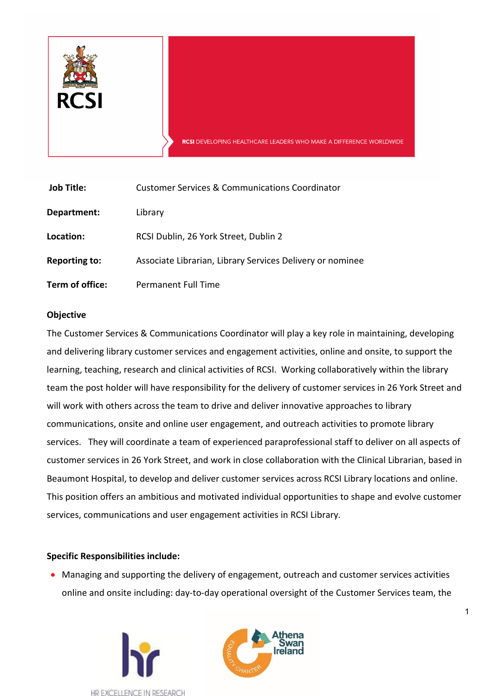

| <b>Job Title:</b>    | <b>Customer Services &amp; Communications Coordinator</b> |
|----------------------|-----------------------------------------------------------|
| Department:          | Library                                                   |
| Location:            | RCSI Dublin, 26 York Street, Dublin 2                     |
| <b>Reporting to:</b> | Associate Librarian, Library Services Delivery or nominee |
| Term of office:      | <b>Permanent Full Time</b>                                |

## **Objective**

The Customer Services & Communications Coordinator will play a key role in maintaining, developing and delivering library customer services and engagement activities, online and onsite, to support the learning, teaching, research and clinical activities of RCSI. Working collaboratively within the library team the post holder will have responsibility for the delivery of customer services in 26 York Street and will work with others across the team to drive and deliver innovative approaches to library communications, onsite and online user engagement, and outreach activities to promote library services. They will coordinate a team of experienced paraprofessional staff to deliver on all aspects of customer services in 26 York Street, and work in close collaboration with the Clinical Librarian, based in Beaumont Hospital, to develop and deliver customer services across RCSI Library locations and online. This position offers an ambitious and motivated individual opportunities to shape and evolve customer services, communications and user engagement activities in RCSI Library.

## **Specific Responsibilities include:**

• Managing and supporting the delivery of engagement, outreach and customer services activities online and onsite including: day-to-day operational oversight of the Customer Services team, the



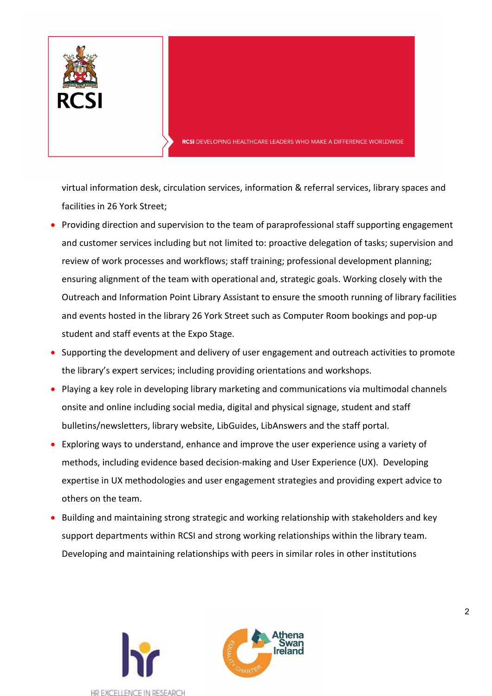

virtual information desk, circulation services, information & referral services, library spaces and facilities in 26 York Street;

- Providing direction and supervision to the team of paraprofessional staff supporting engagement and customer services including but not limited to: proactive delegation of tasks; supervision and review of work processes and workflows; staff training; professional development planning; ensuring alignment of the team with operational and, strategic goals. Working closely with the Outreach and Information Point Library Assistant to ensure the smooth running of library facilities and events hosted in the library 26 York Street such as Computer Room bookings and pop-up student and staff events at the Expo Stage.
- Supporting the development and delivery of user engagement and outreach activities to promote the library's expert services; including providing orientations and workshops.
- Playing a key role in developing library marketing and communications via multimodal channels onsite and online including social media, digital and physical signage, student and staff bulletins/newsletters, library website, LibGuides, LibAnswers and the staff portal.
- Exploring ways to understand, enhance and improve the user experience using a variety of methods, including evidence based decision-making and User Experience (UX). Developing expertise in UX methodologies and user engagement strategies and providing expert advice to others on the team.
- Building and maintaining strong strategic and working relationship with stakeholders and key support departments within RCSI and strong working relationships within the library team. Developing and maintaining relationships with peers in similar roles in other institutions

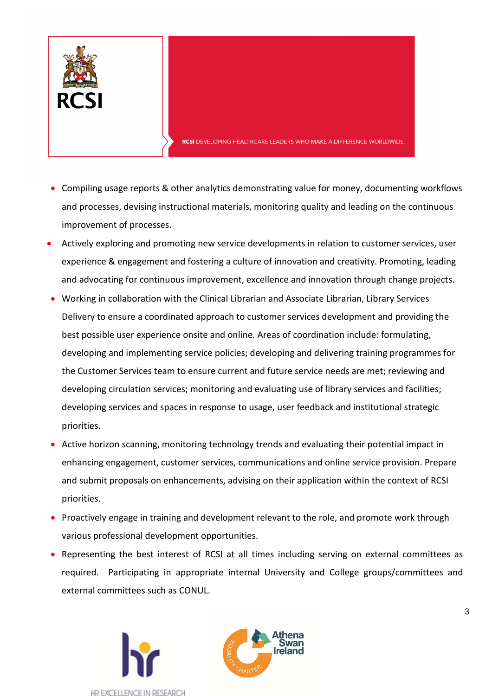

- Compiling usage reports & other analytics demonstrating value for money, documenting workflows and processes, devising instructional materials, monitoring quality and leading on the continuous improvement of processes.
- Actively exploring and promoting new service developments in relation to customer services, user experience & engagement and fostering a culture of innovation and creativity. Promoting, leading and advocating for continuous improvement, excellence and innovation through change projects.
- Working in collaboration with the Clinical Librarian and Associate Librarian, Library Services Delivery to ensure a coordinated approach to customer services development and providing the best possible user experience onsite and online. Areas of coordination include: formulating, developing and implementing service policies; developing and delivering training programmes for the Customer Services team to ensure current and future service needs are met; reviewing and developing circulation services; monitoring and evaluating use of library services and facilities; developing services and spaces in response to usage, user feedback and institutional strategic priorities.
- Active horizon scanning, monitoring technology trends and evaluating their potential impact in enhancing engagement, customer services, communications and online service provision. Prepare and submit proposals on enhancements, advising on their application within the context of RCSI priorities.
- Proactively engage in training and development relevant to the role, and promote work through various professional development opportunities.
- Representing the best interest of RCSI at all times including serving on external committees as required. Participating in appropriate internal University and College groups/committees and external committees such as CONUL.



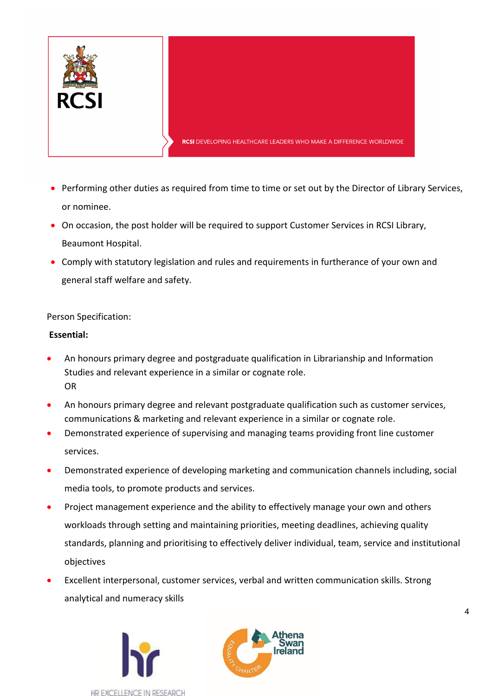

- Performing other duties as required from time to time or set out by the Director of Library Services, or nominee.
- On occasion, the post holder will be required to support Customer Services in RCSI Library, Beaumont Hospital.
- Comply with statutory legislation and rules and requirements in furtherance of your own and general staff welfare and safety.

Person Specification:

## **Essential:**

- An honours primary degree and postgraduate qualification in Librarianship and Information Studies and relevant experience in a similar or cognate role. OR
- An honours primary degree and relevant postgraduate qualification such as customer services, communications & marketing and relevant experience in a similar or cognate role.
- Demonstrated experience of supervising and managing teams providing front line customer services.
- Demonstrated experience of developing marketing and communication channels including, social media tools, to promote products and services.
- Project management experience and the ability to effectively manage your own and others workloads through setting and maintaining priorities, meeting deadlines, achieving quality standards, planning and prioritising to effectively deliver individual, team, service and institutional objectives
- Excellent interpersonal, customer services, verbal and written communication skills. Strong analytical and numeracy skills



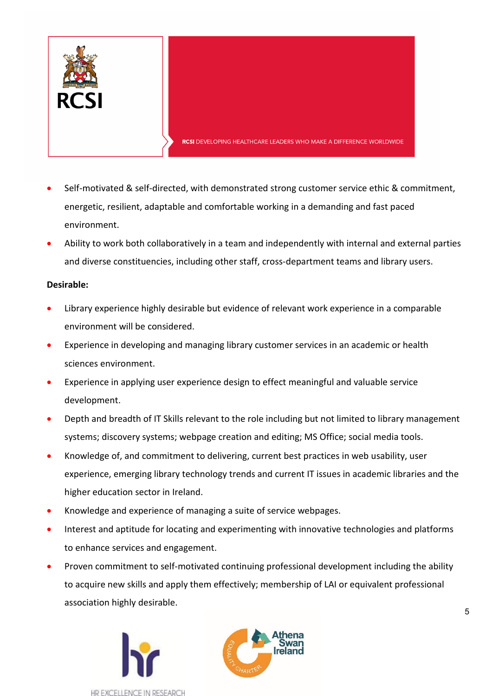

- Self-motivated & self-directed, with demonstrated strong customer service ethic & commitment, energetic, resilient, adaptable and comfortable working in a demanding and fast paced environment.
- Ability to work both collaboratively in a team and independently with internal and external parties and diverse constituencies, including other staff, cross-department teams and library users.

# **Desirable:**

- Library experience highly desirable but evidence of relevant work experience in a comparable environment will be considered.
- Experience in developing and managing library customer services in an academic or health sciences environment.
- Experience in applying user experience design to effect meaningful and valuable service development.
- Depth and breadth of IT Skills relevant to the role including but not limited to library management systems; discovery systems; webpage creation and editing; MS Office; social media tools.
- Knowledge of, and commitment to delivering, current best practices in web usability, user experience, emerging library technology trends and current IT issues in academic libraries and the higher education sector in Ireland.
- Knowledge and experience of managing a suite of service webpages.
- Interest and aptitude for locating and experimenting with innovative technologies and platforms to enhance services and engagement.
- Proven commitment to self-motivated continuing professional development including the ability to acquire new skills and apply them effectively; membership of LAI or equivalent professional association highly desirable.



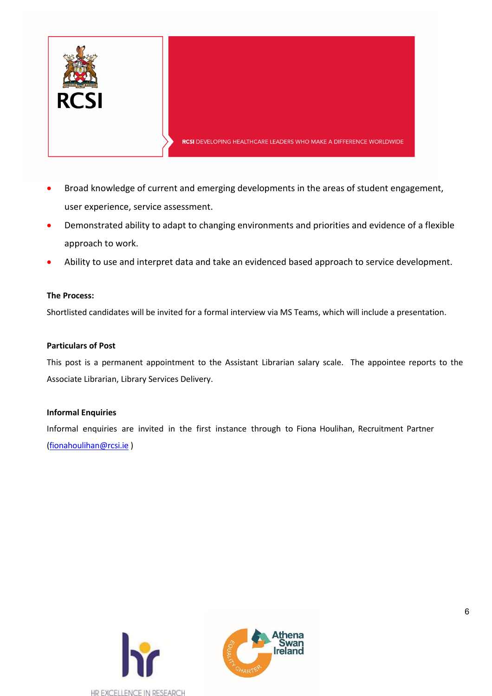

- Broad knowledge of current and emerging developments in the areas of student engagement, user experience, service assessment.
- Demonstrated ability to adapt to changing environments and priorities and evidence of a flexible approach to work.
- Ability to use and interpret data and take an evidenced based approach to service development.

## **The Process:**

Shortlisted candidates will be invited for a formal interview via MS Teams, which will include a presentation.

#### **Particulars of Post**

This post is a permanent appointment to the Assistant Librarian salary scale. The appointee reports to the Associate Librarian, Library Services Delivery.

## **Informal Enquiries**

Informal enquiries are invited in the first instance through to Fiona Houlihan, Recruitment Partner [\(fionahoulihan@rcsi.ie](mailto:fionahoulihan@rcsi.ie) )



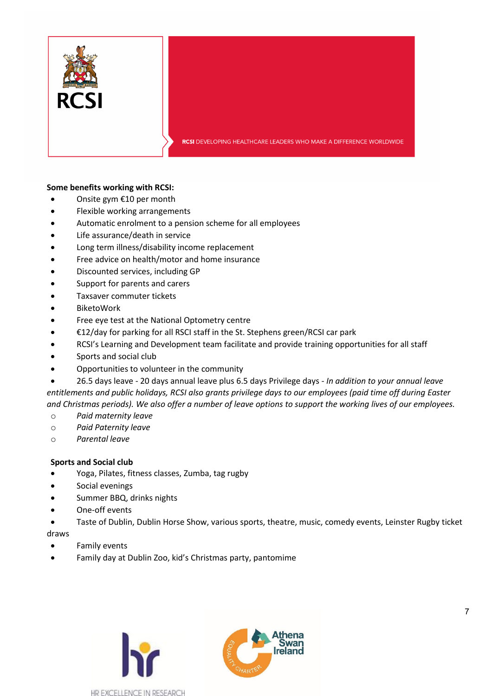

#### **Some benefits working with RCSI:**

- Onsite gym €10 per month
- Flexible working arrangements
- Automatic enrolment to a pension scheme for all employees
- Life assurance/death in service
- Long term illness/disability income replacement
- Free advice on health/motor and home insurance
- Discounted services, including GP
- Support for parents and carers
- Taxsaver commuter tickets
- BiketoWork
- Free eye test at the National Optometry centre
- €12/day for parking for all RSCI staff in the St. Stephens green/RCSI car park
- RCSI's Learning and Development team facilitate and provide training opportunities for all staff
- Sports and social club
- Opportunities to volunteer in the community

• 26.5 days leave - 20 days annual leave plus 6.5 days Privilege days *- In addition to your annual leave entitlements and public holidays, RCSI also grants privilege days to our employees (paid time off during Easter and Christmas periods). We also offer a number of leave options to support the working lives of our employees.*

- o *Paid maternity leave*
- o *Paid Paternity leave*
- o *Parental leave*

## **Sports and Social club**

- Yoga, Pilates, fitness classes, Zumba, tag rugby
- Social evenings
- Summer BBQ, drinks nights
- One-off events
- Taste of Dublin, Dublin Horse Show, various sports, theatre, music, comedy events, Leinster Rugby ticket

draws

- Family events
- Family day at Dublin Zoo, kid's Christmas party, pantomime